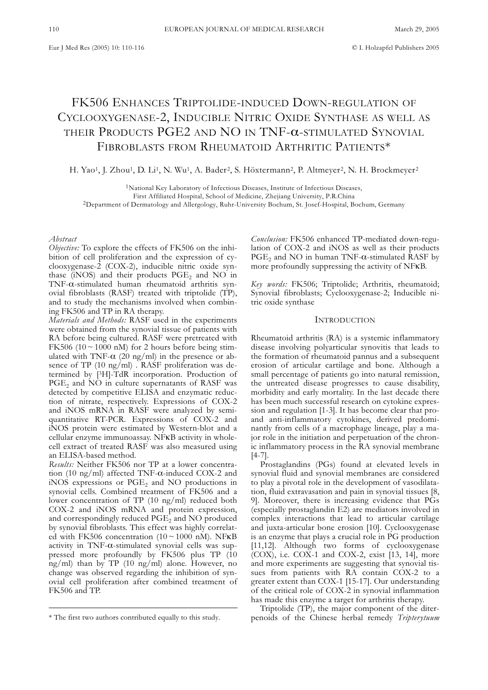# FK506 ENHANCES TRIPTOLIDE-INDUCED DOWN-REGULATION OF CYCLOOXYGENASE-2, INDUCIBLE NITRIC OXIDE SYNTHASE AS WELL AS THEIR PRODUCTS PGE2 AND NO IN TNF-α-STIMULATED SYNOVIAL FIBROBLASTS FROM RHEUMATOID ARTHRITIC PATIENTS\*

H. Yao<sup>1</sup>, J. Zhou<sup>1</sup>, D. Li<sup>1</sup>, N. Wu<sup>1</sup>, A. Bader<sup>2</sup>, S. Höxtermann<sup>2</sup>, P. Altmeyer<sup>2</sup>, N. H. Brockmeyer<sup>2</sup>

1National Key Laboratory of Infectious Diseases, Institute of Infectious Diseases, First Affiliated Hospital, School of Medicine, Zhejiang University, P.R.China 2Department of Dermatology and Allergology, Ruhr-University Bochum, St. Josef-Hospital, Bochum, Germany

#### *Abstract*

*Objective:* To explore the effects of FK506 on the inhibition of cell proliferation and the expression of cyclooxygenase-2 (COX-2), inducible nitric oxide synthase  $(iNOS)$  and their products  $PGE_2$  and NO in TNF-α-stimulated human rheumatoid arthritis synovial fibroblasts (RASF) treated with triptolide (TP), and to study the mechanisms involved when combining FK506 and TP in RA therapy.

*Materials and Methods:* RASF used in the experiments were obtained from the synovial tissue of patients with RA before being cultured. RASF were pretreated with FK506 (10  $\sim$  1000 nM) for 2 hours before being stimulated with TNF- $\alpha$  (20 ng/ml) in the presence or absence of TP (10 ng/ml) . RASF proliferation was determined by [3H]-TdR incorporation. Production of  $PGE<sub>2</sub>$  and NO in culture supernatants of RASF was detected by competitive ELISA and enzymatic reduction of nitrate, respectively. Expressions of COX-2 and iNOS mRNA in RASF were analyzed by semiquantitative RT-PCR. Expressions of COX-2 and iNOS protein were estimated by Western-blot and a cellular enzyme immunoassay. NFκB activity in wholecell extract of treated RASF was also measured using an ELISA-based method.

*Results:* Neither FK506 nor TP at a lower concentration (10 ng/ml) affected TNF-α-induced COX-2 and  $i$ NOS expressions or PGE<sub>2</sub> and NO productions in synovial cells. Combined treatment of FK506 and a lower concentration of TP (10 ng/ml) reduced both COX-2 and iNOS mRNA and protein expression, and correspondingly reduced  $PGE_2$  and NO produced by synovial fibroblasts. This effect was highly correlated with FK506 concentration  $(10 \sim 1000 \text{ nM})$ . NFKB activity in TNF-α-stimulated synovial cells was suppressed more profoundly by FK506 plus TP (10 ng/ml) than by TP (10 ng/ml) alone. However, no change was observed regarding the inhibition of synovial cell proliferation after combined treatment of FK506 and TP.

*Conclusion:* FK506 enhanced TP-mediated down-regulation of COX-2 and iNOS as well as their products  $PGE_2$  and NO in human TNF- $\alpha$ -stimulated RASF by more profoundly suppressing the activity of NFκB.

*Key words:* FK506; Triptolide; Arthritis, rheumatoid; Synovial fibroblasts; Cyclooxygenase-2; Inducible nitric oxide synthase

## **INTRODUCTION**

Rheumatoid arthritis (RA) is a systemic inflammatory disease involving polyarticular synovitis that leads to the formation of rheumatoid pannus and a subsequent erosion of articular cartilage and bone. Although a small percentage of patients go into natural remission, the untreated disease progresses to cause disability, morbidity and early mortality. In the last decade there has been much successful research on cytokine expression and regulation [1-3]. It has become clear that proand anti-inflammatory cytokines, derived predominantly from cells of a macrophage lineage, play a major role in the initiation and perpetuation of the chronic inflammatory process in the RA synovial membrane [4-7].

Prostaglandins (PGs) found at elevated levels in synovial fluid and synovial membranes are considered to play a pivotal role in the development of vasodilatation, fluid extravasation and pain in synovial tissues [8, 9]. Moreover, there is increasing evidence that PGs (especially prostaglandin E2) are mediators involved in complex interactions that lead to articular cartilage and juxta-articular bone erosion [10]. Cyclooxygenase is an enzyme that plays a crucial role in PG production [11,12]. Although two forms of cyclooxygenase  $(COX)$ , i.e.  $COX-1$  and  $COX-2$ , exist [13, 14], more and more experiments are suggesting that synovial tissues from patients with RA contain COX-2 to a greater extent than COX-1 [15-17]. Our understanding of the critical role of COX-2 in synovial inflammation has made this enzyme a target for arthritis therapy.

Triptolide (TP), the major component of the diterpenoids of the Chinese herbal remedy *Tripterytuum*

<sup>\*</sup> The first two authors contributed equally to this study.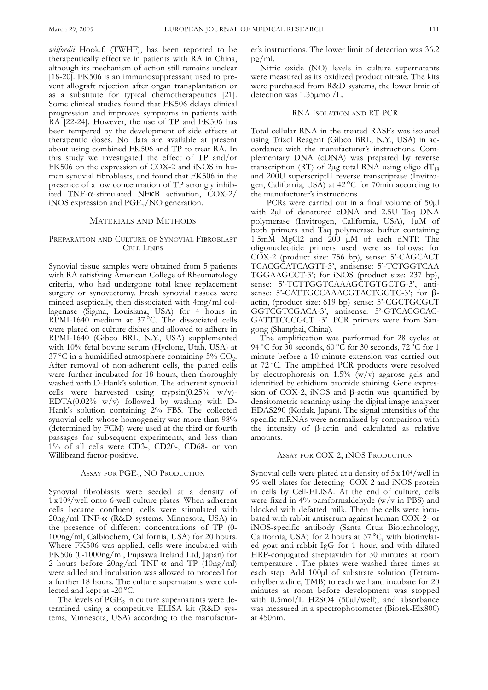*wilfordii* Hook.f. (TWHF), has been reported to be therapeutically effective in patients with RA in China, although its mechanism of action still remains unclear [18-20]. FK506 is an immunosuppressant used to prevent allograft rejection after organ transplantation or as a substitute for typical chemotherapeutics [21]. Some clinical studies found that FK506 delays clinical progression and improves symptoms in patients with RA [22-24]. However, the use of TP and FK506 has been tempered by the development of side effects at therapeutic doses. No data are available at present about using combined FK506 and TP to treat RA. In this study we investigated the effect of TP and/or FK506 on the expression of COX-2 and iNOS in human synovial fibroblasts, and found that FK506 in the presence of a low concentration of TP strongly inhibited TNF-α-stimulated NFκB activation, COX-2/ iNOS expression and  $PGE_2/NO$  generation.

## MATERIALS AND METHODS

# PREPARATION AND CULTURE OF SYNOVIAL FIBROBLAST CELL LINES

Synovial tissue samples were obtained from 5 patients with RA satisfying American College of Rheumatology criteria, who had undergone total knee replacement surgery or synovectomy. Fresh synovial tissues were minced aseptically, then dissociated with 4mg/ml collagenase (Sigma, Louisiana, USA) for 4 hours in RPMI-1640 medium at 37 °C. The dissociated cells were plated on culture dishes and allowed to adhere in RPMI-1640 (Gibco BRL, N.Y., USA) supplemented with 10% fetal bovine serum (Hyclone, Utah, USA) at  $37^{\circ}$ C in a humidified atmosphere containing  $5\%$  CO<sub>2</sub>. After removal of non-adherent cells, the plated cells were further incubated for 18 hours, then thoroughly washed with D-Hank's solution. The adherent synovial cells were harvested using trypsin $(0.25\% \text{ w/v})$ -EDTA $(0.02\% \text{ w/v})$  followed by washing with D-Hank's solution containing 2% FBS. The collected synovial cells whose homogeneity was more than 98% (determined by FCM) were used at the third or fourth passages for subsequent experiments, and less than 1% of all cells were CD3-, CD20-, CD68- or von Willibrand factor-positive.

# ASSAY FOR PGE<sub>2</sub>, NO PRODUCTION

Synovial fibroblasts were seeded at a density of  $1 \times 10^6$ /well onto 6-well culture plates. When adherent cells became confluent, cells were stimulated with 20ng/ml TNF-α (R&D systems, Minnesota, USA) in the presence of different concentrations of TP (0- 100ng/ml, Calbiochem, California, USA) for 20 hours. Where FK506 was applied, cells were incubated with FK506 (0-1000ng/ml, Fujisawa Ireland Ltd, Japan) for 2 hours before  $20\text{ng/ml}$  TNF- $\alpha$  and TP  $(10\text{ng/ml})$ were added and incubation was allowed to proceed for a further 18 hours. The culture supernatants were collected and kept at -20 °C.

The levels of  $PGE<sub>2</sub>$  in culture supernatants were determined using a competitive ELISA kit (R&D systems, Minnesota, USA) according to the manufacturer's instructions. The lower limit of detection was 36.2 pg/ml.

Nitric oxide (NO) levels in culture supernatants were measured as its oxidized product nitrate. The kits were purchased from R&D systems, the lower limit of detection was 1.35µmol/L.

# RNA ISOLATION AND RT-PCR

Total cellular RNA in the treated RASFs was isolated using Trizol Reagent (Gibco BRL, N.Y., USA) in accordance with the manufacturer's instructions. Complementary DNA (cDNA) was prepared by reverse transcription (RT) of 2µg total RNA using oligo  $dT_{18}$ and 200U superscriptII reverse transcriptase (Invitrogen, California, USA) at 42 °C for 70min according to the manufacturer's instructions.

PCRs were carried out in a final volume of  $50\mu$ l with 2µl of denatured cDNA and 2.5U Taq DNA polymerase (Invitrogen, California, USA), 1µM of both primers and Taq polymerase buffer containing 1.5mM MgCl2 and 200 µM of each dNTP. The oligonucleotide primers used were as follows: for COX-2 (product size: 756 bp), sense: 5'-CAGCACT TCACGCATCAGTT-3', antisense: 5'-TCTGGTCAA TGGAAGCCT-3'; for iNOS (product size: 237 bp), sense: 5'-TCTTGGTCAAAGCTGTGCTG-3', antisense: 5'-CATTGCCAAACGTACTGGTC-3'; for βactin, (product size: 619 bp) sense: 5'-CGCTGCGCT GGTCGTCGACA-3', antisense: 5'-GTCACGCAC-GATTTCCCGCT -3'. PCR primers were from Sangong (Shanghai, China).

The amplification was performed for 28 cycles at 94 °C for 30 seconds,  $60^{\circ}$ C for 30 seconds,  $72^{\circ}$ C for 1 minute before a 10 minute extension was carried out at 72 °C. The amplified PCR products were resolved by electrophoresis on 1.5%  $(w/v)$  agarose gels and identified by ethidium bromide staining. Gene expression of COX-2, iNOS and β-actin was quantified by densitometric scanning using the digital image analyzer EDAS290 (Kodak, Japan). The signal intensities of the specific mRNAs were normalized by comparison with the intensity of β-actin and calculated as relative amounts.

## ASSAY FOR COX-2, INOS PRODUCTION

Synovial cells were plated at a density of 5 x 104/well in 96-well plates for detecting COX-2 and iNOS protein in cells by Cell-ELISA. At the end of culture, cells were fixed in  $4\%$  paraformaldehyde (w/v in PBS) and blocked with defatted milk. Then the cells were incubated with rabbit antiserum against human COX-2- or iNOS-specific antibody (Santa Cruz Biotechnology, California, USA) for 2 hours at 37 °C, with biotinylated goat anti-rabbit IgG for 1 hour, and with diluted HRP-conjugated streptavidin for 30 minutes at room temperature . The plates were washed three times at each step. Add  $100\mu l$  of substrate solution (Tetramethylbenzidine, TMB) to each well and incubate for 20 minutes at room before development was stopped with 0.5mol/L H2SO4 (50µl/well), and absorbance was measured in a spectrophotometer (Biotek-Elx800) at 450nm.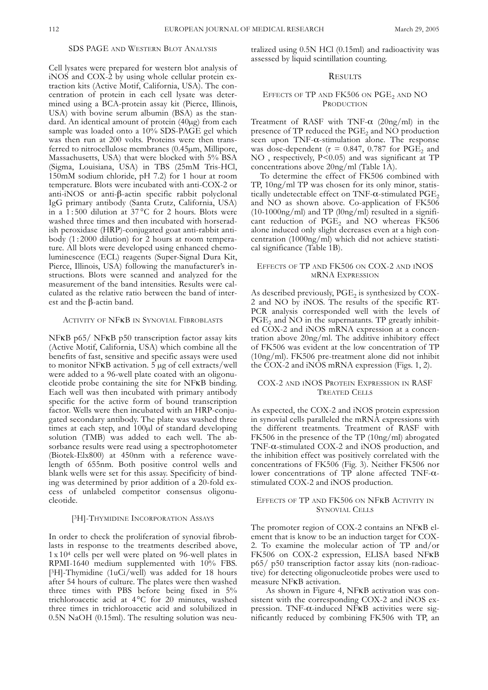# SDS PAGE AND WESTERN BLOT ANALYSIS

Cell lysates were prepared for western blot analysis of iNOS and COX-2 by using whole cellular protein extraction kits (Active Motif, California, USA). The concentration of protein in each cell lysate was determined using a BCA-protein assay kit (Pierce, Illinois, USA) with bovine serum albumin (BSA) as the standard. An identical amount of protein (40µg) from each sample was loaded onto a  $10\%$  SDS-PAGE gel which was then run at 200 volts. Proteins were then transferred to nitrocellulose membranes (0.45µm, Millipore, Massachusetts, USA) that were blocked with 5% BSA (Sigma, Louisiana, USA) in TBS (25mM Tris-HCl, 150mM sodium chloride, pH 7.2) for 1 hour at room temperature. Blots were incubated with anti-COX-2 or anti-iNOS or anti-β-actin specific rabbit polyclonal IgG primary antibody (Santa Crutz, California, USA) in a 1 : 500 dilution at 37 °C for 2 hours. Blots were washed three times and then incubated with horseradish peroxidase (HRP)-conjugated goat anti-rabbit antibody (1:2000 dilution) for 2 hours at room temperature. All blots were developed using enhanced chemoluminescence (ECL) reagents (Super-Signal Dura Kit, Pierce, Illinois, USA) following the manufacturer's instructions. Blots were scanned and analyzed for the measurement of the band intensities. Results were calculated as the relative ratio between the band of interest and the β-actin band.

## ACTIVITY OF NFKB IN SYNOVIAL FIBROBLASTS

NFκB p65/ NFκB p50 transcription factor assay kits (Active Motif, California, USA) which combine all the benefits of fast, sensitive and specific assays were used to monitor NFKB activation.  $5 \mu$ g of cell extracts/well were added to a 96-well plate coated with an oligonucleotide probe containing the site for NFκB binding. Each well was then incubated with primary antibody specific for the active form of bound transcription factor. Wells were then incubated with an HRP-conjugated secondary antibody. The plate was washed three times at each step, and 100µl of standard developing solution (TMB) was added to each well. The absorbance results were read using a spectrophotometer (Biotek-Elx800) at 450nm with a reference wavelength of 655nm. Both positive control wells and blank wells were set for this assay. Specificity of binding was determined by prior addition of a 20-fold excess of unlabeled competitor consensus oligonucleotide.

#### [3H]-THYMIDINE INCORPORATION ASSAYS

In order to check the proliferation of synovial fibroblasts in response to the treatments described above, 1 x 104 cells per well were plated on 96-well plates in RPMI-1640 medium supplemented with 10% FBS. [3H]-Thymidine (1uCi/well) was added for 18 hours after 54 hours of culture. The plates were then washed three times with PBS before being fixed in 5% trichloroacetic acid at 4°C for 20 minutes, washed three times in trichloroacetic acid and solubilized in 0.5N NaOH (0.15ml). The resulting solution was neutralized using 0.5N HCl (0.15ml) and radioactivity was assessed by liquid scintillation counting.

# **RESULTS**

## EFFECTS OF TP AND FK506 ON  $PGE_2$  and NO PRODUCTION

Treatment of RASF with TNF- $\alpha$  (20ng/ml) in the presence of  $TP$  reduced the  $PGE<sub>2</sub>$  and  $NO$  production seen upon  $TNF-\alpha$ -stimulation alone. The response was dose-dependent ( $r = 0.847$ , 0.787 for PGE<sub>2</sub> and NO , respectively, P<0.05) and was significant at TP concentrations above 20ng/ml (Table 1A).

To determine the effect of FK506 combined with TP, 10ng/ml TP was chosen for its only minor, statistically undetectable effect on TNF- $\alpha$ -stimulated PGE<sub>2</sub> and NO as shown above. Co-application of FK506  $(10-1000ng/ml)$  and TP  $(10ng/ml)$  resulted in a significant reduction of  $PGE_2$  and NO whereas FK506 alone induced only slight decreases even at a high concentration (1000ng/ml) which did not achieve statistical significance (Table 1B).

# EFFECTS OF TP AND FK506 ON COX-2 AND INOS MRNA EXPRESSION

As described previously,  $PGE<sub>2</sub>$  is synthesized by COX-2 and NO by iNOS. The results of the specific RT-PCR analysis corresponded well with the levels of  $PGE<sub>2</sub>$  and NO in the supernatants. TP greatly inhibited COX-2 and iNOS mRNA expression at a concentration above 20ng/ml. The additive inhibitory effect of FK506 was evident at the low concentration of TP (10ng/ml). FK506 pre-treatment alone did not inhibit the COX-2 and iNOS mRNA expression (Figs. 1, 2).

# COX-2 AND INOS PROTEIN EXPRESSION IN RASF TREATED CELLS

As expected, the COX-2 and iNOS protein expression in synovial cells paralleled the mRNA expressions with the different treatments. Treatment of RASF with FK506 in the presence of the TP (10ng/ml) abrogated TNF-α-stimulated COX-2 and iNOS production, and the inhibition effect was positively correlated with the concentrations of FK506 (Fig. 3). Neither FK506 nor lower concentrations of TP alone affected TNF-αstimulated COX-2 and iNOS production.

## EFFECTS OF TP AND FK506 ON NFΚB ACTIVITY IN SYNOVIAL CELLS

The promoter region of COX-2 contains an NFKB element that is know to be an induction target for COX-2. To examine the molecular action of TP and/or FK506 on COX-2 expression, ELISA based NFκB p65/ p50 transcription factor assay kits (non-radioactive) for detecting oligonucleotide probes were used to measure NFκB activation.

As shown in Figure 4, NFKB activation was consistent with the corresponding COX-2 and iNOS expression. TNF-α-induced NFκB activities were significantly reduced by combining FK506 with TP, an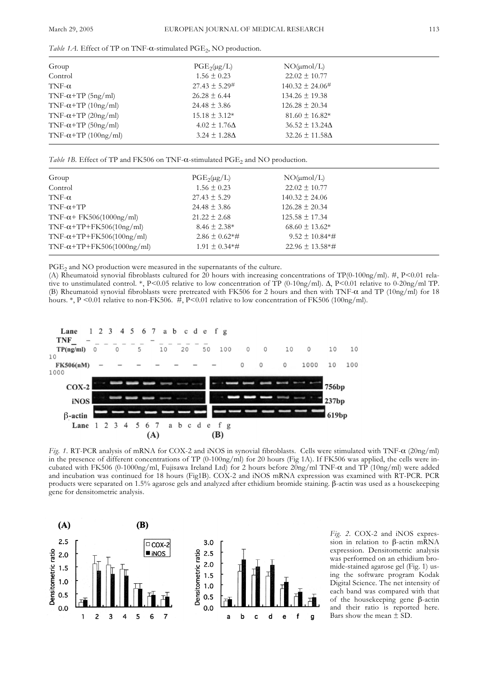*Table 1A*. Effect of TP on TNF-α-stimulated PGE<sub>2</sub>, NO production.

| Group                        | $PGE_2(\mu g/L)$       | $NO(\mu mol/L)$          |  |
|------------------------------|------------------------|--------------------------|--|
| Control                      | $1.56 \pm 0.23$        | $22.02 \pm 10.77$        |  |
| TNF- $\alpha$                | $27.43 \pm 5.29^{\#}$  | $140.32 \pm 24.06^{\#}$  |  |
| TNF- $\alpha$ +TP (5ng/ml)   | $26.28 \pm 6.44$       | $134.26 \pm 19.38$       |  |
| TNF- $\alpha$ +TP (10ng/ml)  | $24.48 \pm 3.86$       | $126.28 \pm 20.34$       |  |
| TNF- $\alpha$ +TP (20ng/ml)  | $15.18 \pm 3.12*$      | $81.60 \pm 16.82*$       |  |
| TNF- $\alpha$ +TP (50ng/ml)  | $4.02 \pm 1.76 \Delta$ | $36.52 \pm 13.24 \Delta$ |  |
| TNF- $\alpha$ +TP (100ng/ml) | $3.24 \pm 1.28 \Delta$ | $32.26 \pm 11.58 \Delta$ |  |
|                              |                        |                          |  |

*Table 1B*. Effect of TP and FK506 on TNF-α-stimulated PGE<sub>2</sub> and NO production.

| Group                             | $PGE_2(\mu g/L)$    | $NO(\mu mol/L)$                  |
|-----------------------------------|---------------------|----------------------------------|
| Control                           | $1.56 \pm 0.23$     | $22.02 \pm 10.77$                |
| TNF- $\alpha$                     | $27.43 \pm 5.29$    | $140.32 \pm 24.06$               |
| $TNF-\alpha+TP$                   | $24.48 \pm 3.86$    | $126.28 \pm 20.34$               |
| $TNF-\alpha$ + FK506(1000ng/ml)   | $21.22 \pm 2.68$    | $125.58 \pm 17.34$               |
| $TNF-\alpha+TP+FK506(10ng/ml)$    | $8.46 \pm 2.38*$    | $68.60 \pm 13.62*$               |
| TNF- $\alpha$ +TP+FK506(100ng/ml) | $2.86 \pm 0.62$ *#  | $9.52 \pm 10.84* \#$             |
| $TNF-\alpha+TP+FK506(1000ng/ml)$  | $1.91 \pm 0.34**$ # | $22.96 \pm 13.58$ <sup>*</sup> # |
|                                   |                     |                                  |

PGE<sub>2</sub> and NO production were measured in the supernatants of the culture.

(A) Rheumatoid synovial fibroblasts cultured for 20 hours with increasing concentrations of TP(0-100ng/ml). #, P<0.01 relative to unstimulated control. \*, P<0.05 relative to low concentration of TP (0-10ng/ml). ∆, P<0.01 relative to 0-20ng/ml TP. (B) Rheumatoid synovial fibroblasts were pretreated with FK506 for 2 hours and then with TNF-α and TP (10ng/ml) for 18 hours. \*, P <0.01 relative to non-FK506.  $\#$ , P<0.01 relative to low concentration of FK506 (100ng/ml).



*Fig. 1.* RT-PCR analysis of mRNA for COX-2 and iNOS in synovial fibroblasts. Cells were stimulated with TNF-α (20ng/ml) in the presence of different concentrations of TP (0-100ng/ml) for 20 hours (Fig 1A). If FK506 was applied, the cells were incubated with FK506 (0-1000ng/ml, Fujisawa Ireland Ltd) for 2 hours before 20ng/ml TNF-α and TP (10ng/ml) were added and incubation was continued for 18 hours (Fig1B). COX-2 and iNOS mRNA expression was examined with RT-PCR. PCR products were separated on 1.5% agarose gels and analyzed after ethidium bromide staining. β-actin was used as a housekeeping gene for densitometric analysis.



*Fig. 2.* COX-2 and iNOS expression in relation to β-actin mRNA expression. Densitometric analysis was performed on an ethidium bromide-stained agarose gel (Fig. 1) using the software program Kodak Digital Science. The net intensity of each band was compared with that of the housekeeping gene β-actin and their ratio is reported here. Bars show the mean  $\pm$  SD.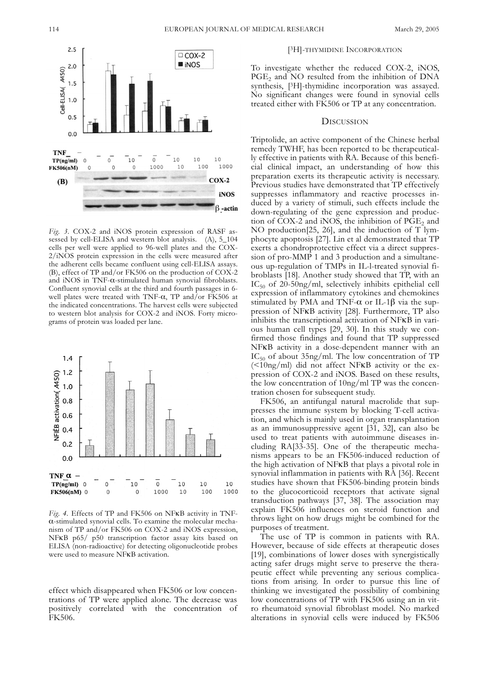

*Fig. 3.* COX-2 and iNOS protein expression of RASF assessed by cell-ELISA and western blot analysis. (A), 5\_104 cells per well were applied to 96-well plates and the COX-2/iNOS protein expression in the cells were measured after the adherent cells became confluent using cell-ELISA assays. (B), effect of TP and/or FK506 on the production of COX-2 and iNOS in TNF-α-stimulated human synovial fibroblasts. Confluent synovial cells at the third and fourth passages in 6 well plates were treated with TNF- $\alpha$ , TP and/or FK506 at the indicated concentrations. The harvest cells were subjected to western blot analysis for COX-2 and iNOS. Forty micrograms of protein was loaded per lane.



*Fig. 4.* Effects of TP and FK506 on NFκB activity in TNFα-stimulated synovial cells. To examine the molecular mechanism of TP and/or FK506 on COX-2 and iNOS expression, NFκB p65/ p50 transcription factor assay kits based on ELISA (non-radioactive) for detecting oligonucleotide probes were used to measure NFκB activation.

effect which disappeared when FK506 or low concentrations of TP were applied alone. The decrease was positively correlated with the concentration of FK506.

#### [3H]-THYMIDINE INCORPORATION

To investigate whether the reduced COX-2, iNOS, PGE<sub>2</sub> and NO resulted from the inhibition of DNA synthesis, [3H]-thymidine incorporation was assayed. No significant changes were found in synovial cells treated either with FK506 or TP at any concentration.

# **DISCUSSION**

Triptolide, an active component of the Chinese herbal remedy TWHF, has been reported to be therapeutically effective in patients with RA. Because of this beneficial clinical impact, an understanding of how this preparation exerts its therapeutic activity is necessary. Previous studies have demonstrated that TP effectively suppresses inflammatory and reactive processes induced by a variety of stimuli, such effects include the down-regulating of the gene expression and production of  $\tilde{C}OX-2$  and  $\tilde{N}O\tilde{S}$ , the inhibition of  $\tilde{PGE}_2$  and NO production[25, 26], and the induction of T lymphocyte apoptosis [27]. Lin et al demonstrated that TP exerts a chondroprotective effect via a direct suppression of pro-MMP 1 and 3 production and a simultaneous up-regulation of TMPs in IL-l-treated synovial fibroblasts [18]. Another study showed that TP, with an  $IC_{50}$  of 20-50ng/ml, selectively inhibits epithelial cell expression of inflammatory cytokines and chemokines stimulated by PMA and TNF- $\alpha$  or IL-1 $\beta$  via the suppression of NFκB activity [28]. Furthermore, TP also inhibits the transcriptional activation of NFκB in various human cell types [29, 30]. In this study we confirmed those findings and found that TP suppressed NFκB activity in a dose-dependent manner with an  $IC_{50}$  of about 35ng/ml. The low concentration of TP  $(\leq10ng/ml)$  did not affect NFKB activity or the expression of COX-2 and iNOS. Based on these results, the low concentration of 10ng/ml TP was the concentration chosen for subsequent study.

FK506, an antifungal natural macrolide that suppresses the immune system by blocking T-cell activation, and which is mainly used in organ transplantation as an immunosuppressive agent [31, 32], can also be used to treat patients with autoimmune diseases including RA[33-35]. One of the therapeutic mechanisms appears to be an FK506-induced reduction of the high activation of NFκB that plays a pivotal role in synovial inflammation in patients with RA [36]. Recent studies have shown that FK506-binding protein binds to the glucocorticoid receptors that activate signal transduction pathways [37, 38]. The association may explain FK506 influences on steroid function and throws light on how drugs might be combined for the purposes of treatment.

The use of TP is common in patients with RA. However, because of side effects at therapeutic doses [19], combinations of lower doses with synergistically acting safer drugs might serve to preserve the therapeutic effect while preventing any serious complications from arising. In order to pursue this line of thinking we investigated the possibility of combining low concentrations of TP with FK506 using an in vitro rheumatoid synovial fibroblast model. No marked alterations in synovial cells were induced by FK506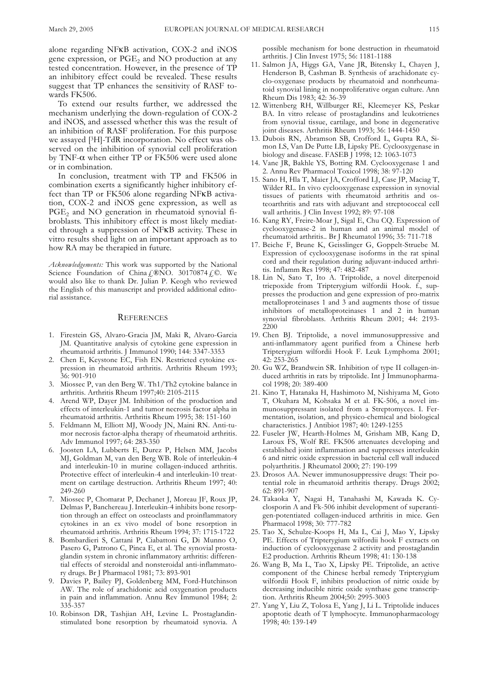alone regarding NFκB activation, COX-2 and iNOS gene expression, or PGE<sub>2</sub> and NO production at any tested concentration. However, in the presence of TP an inhibitory effect could be revealed. These results suggest that TP enhances the sensitivity of RASF towards FK506.

To extend our results further, we addressed the mechanism underlying the down-regulation of COX-2 and iNOS, and assessed whether this was the result of an inhibition of RASF proliferation. For this purpose we assayed [3H]-TdR incorporation. No effect was observed on the inhibition of synovial cell proliferation by TNF-α when either TP or FK506 were used alone or in combination.

In conclusion, treatment with TP and FK506 in combination exerts a significantly higher inhibitory effect than TP or FK506 alone regarding NFκB activation, COX-2 and iNOS gene expression, as well as  $PGE<sub>2</sub>$  and NO generation in rheumatoid synovial fibroblasts. This inhibitory effect is most likely mediated through a suppression of NFκB activity. These in vitro results shed light on an important approach as to how RA may be therapied in future.

*Acknowledgements:* This work was supported by the National Science Foundation of China  $f_{\text{e}}$ ®NO. 30170874  $f_{\text{e}}$ ©. We would also like to thank Dr. Julian P. Keogh who reviewed the English of this manuscript and provided additional editorial assistance.

## **REFERENCES**

- 1. Firestein GS, Alvaro-Gracia JM, Maki R, Alvaro-Garcia JM. Quantitative analysis of cytokine gene expression in rheumatoid arthritis. J Immunol 1990; 144: 3347-3353
- 2. Chen E, Keystone EC, Fish EN. Restricted cytokine expression in rheumatoid arthritis. Arthritis Rheum 1993; 36: 901-910
- 3. Miossec P, van den Berg W. Th1/Th2 cytokine balance in arthritis. Arthritis Rheum 1997;40: 2105-2115
- 4. Arend WP, Dayer JM. Inhibition of the production and effects of interleukin-1 and tumor necrosis factor alpha in rheumatoid arthritis. Arthritis Rheum 1995; 38: 151-160
- 5. Feldmann M, Elliott MJ, Woody JN, Maini RN. Anti-tumor necrosis factor-alpha therapy of rheumatoid arthritis. Adv Immunol 1997; 64: 283-350
- 6. Joosten LA, Lubberts E, Durez P, Helsen MM, Jacobs MJ, Goldman M, van den Berg WB. Role of interleukin-4 and interleukin-10 in murine collagen-induced arthritis. Protective effect of interleukin-4 and interleukin-10 treatment on cartilage destruction. Arthritis Rheum 1997; 40: 249-260
- 7. Miossec P, Chomarat P, Dechanet J, Moreau JF, Roux JP, Delmas P, Banchereau J. Interleukin-4 inhibits bone resorption through an effect on osteoclasts and proinflammatory cytokines in an ex vivo model of bone resorption in rheumatoid arthritis. Arthritis Rheum 1994; 37: 1715-1722
- 8. Bombardieri S, Cattani P, Ciabattoni G, Di Munno O, Pasero G, Patrono C, Pinca E, et al. The synovial prostaglandin system in chronic inflammatory arthritis: differential effects of steroidal and nonsteroidal anti-inflammatory drugs. Br J Pharmacol 1981; 73: 893-901
- 9. Davies P, Bailey PJ, Goldenberg MM, Ford-Hutchinson AW. The role of arachidonic acid oxygenation products in pain and inflammation. Annu Rev Immunol 1984; 2: 335-357
- 10. Robinson DR, Tashjian AH, Levine L. Prostaglandinstimulated bone resorption by rheumatoid synovia. A

possible mechanism for bone destruction in rheumatoid arthritis. J Clin Invest 1975; 56: 1181-1188

- 11. Salmon JA, Higgs GA, Vane JR, Bitensky L, Chayen J, Henderson B, Cashman B. Synthesis of arachidonate cyclo-oxygenase products by rheumatoid and nonrheumatoid synovial lining in nonproliferative organ culture. Ann Rheum Dis 1983; 42: 36-39
- 12. Wittenberg RH, Willburger RE, Kleemeyer KS, Peskar BA. In vitro release of prostaglandins and leukotrienes from synovial tissue, cartilage, and bone in degenerative joint diseases. Arthritis Rheum 1993; 36: 1444-1450
- 13. Dubois RN, Abramson SB, Crofford L, Gupta RA, Simon LS, Van De Putte LB, Lipsky PE. Cyclooxygenase in biology and disease. FASEB J 1998; 12: 1063-1073
- 14. Vane JR, Bakhle YS, Botting RM. Cyclooxygenase 1 and 2. Annu Rev Pharmacol Toxicol 1998; 38: 97-120
- 15. Sano H, Hla T, Maier JA, Crofford LJ, Case JP, Maciag T, Wilder RL. In vivo cyclooxygenase expression in synovial tissues of patients with rheumatoid arthritis and osteoarthritis and rats with adjuvant and streptococcal cell wall arthritis. J Clin Invest 1992; 89: 97-108
- 16. Kang RY, Freire-Moar J, Sigal E, Chu CQ. Expression of cyclooxygenase-2 in human and an animal model of rheumatoid arthritis.. Br J Rheumatol 1996; 35: 711-718
- 17. Beiche F, Brune K, Geisslinger G, Goppelt-Struebe M. Expression of cyclooxygenase isoforms in the rat spinal cord and their regulation during adjuvant-induced arthritis. Inflamm Res 1998; 47: 482-487
- 18. Lin N, Sato T, Ito A. Triptolide, a novel diterpenoid triepoxide from Tripterygium wilfordii Hook. f., suppresses the production and gene expression of pro-matrix metalloproteinases 1 and 3 and augments those of tissue inhibitors of metalloproteinases 1 and 2 in human synovial fibroblasts. Arthritis Rheum 2001; 44: 2193- 2200
- 19. Chen BJ. Triptolide, a novel immunosuppressive and anti-inflammatory agent purified from a Chinese herb Tripterygium wilfordii Hook F. Leuk Lymphoma 2001; 42: 253-265
- 20. Gu WZ, Brandwein SR. Inhibition of type II collagen-induced arthritis in rats by triptolide. Int J Immunopharmacol 1998; 20: 389-400
- 21. Kino T, Hatanaka H, Hashimoto M, Nishiyama M, Goto T, Okuhara M, Kohsaka M et al. FK-506, a novel immunosuppressant isolated from a Streptomyces. I. Fermentation, isolation, and physico-chemical and biological characteristics. J Antibiot 1987; 40: 1249-1255
- 22. Fuseler JW, Hearth-Holmes M, Grisham MB, Kang D, Laroux FS, Wolf RE. FK506 attenuates developing and established joint inflammation and suppresses interleukin 6 and nitric oxide expression in bacterial cell wall induced polyarthritis. J Rheumatol 2000; 27: 190-199
- 23. Drosos AA. Newer immunosuppressive drugs: Their potential role in rheumatoid arthritis therapy. Drugs 2002; 62: 891-907
- 24. Takaoka Y, Nagai H, Tanahashi M, Kawada K. Cyclosporin A and Fk-506 inhibit development of superantigen-potentiated collagen-induced arthritis in mice. Gen Pharmacol 1998; 30: 777-782
- 25. Tao X, Schulze-Koops H, Ma L, Cai J, Mao Y, Lipsky PE. Effects of Tripterygium wilfordii hook F extracts on induction of cyclooxygenase 2 activity and prostaglandin E2 production. Arthritis Rheum 1998; 41: 130-138
- 26. Wang B, Ma L, Tao X, Lipsky PE. Triptolide, an active component of the Chinese herbal remedy Tripterygium wilfordii Hook F, inhibits production of nitric oxide by decreasing inducible nitric oxide synthase gene transcription. Arthritis Rheum 2004;50: 2995-3003
- 27. Yang Y, Liu Z, Tolosa E, Yang J, Li L. Triptolide induces apoptotic death of T lymphocyte. Immunopharmacology 1998; 40: 139-149